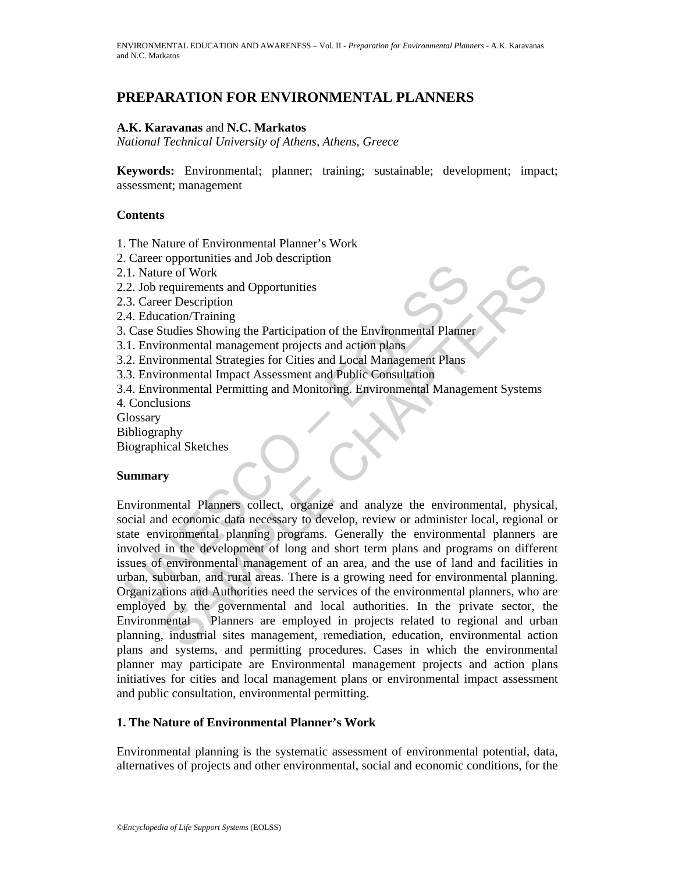# **PREPARATION FOR ENVIRONMENTAL PLANNERS**

### **A.K. Karavanas** and **N.C. Markatos**

*National Technical University of Athens, Athens, Greece* 

**Keywords:** Environmental; planner; training; sustainable; development; impact; assessment; management

#### **Contents**

1. The Nature of Environmental Planner's Work

- 2. Career opportunities and Job description
- 2.1. Nature of Work
- 2.2. Job requirements and Opportunities
- 2.3. Career Description
- 2.4. Education/Training
- 3. Case Studies Showing the Participation of the Environmental Planner
- 3.1. Environmental management projects and action plans
- 3.2. Environmental Strategies for Cities and Local Management Plans
- 3.3. Environmental Impact Assessment and Public Consultation
- 3.4. Environmental Permitting and Monitoring. Environmental Management Systems
- 4. Conclusions
- **Glossary**
- Bibliography
- Biographical Sketches

#### **Summary**

L. Nature of Work<br>
2. J.b requirements and Opportunities<br>
2. J.b requirements and Opportunities<br>
3. Career Description<br>
4. Education Training<br>
Case Studies Showing the Participation of the Environmental Planne<br>
1. Environm Exponenties and sob description<br>
receptivements and Opportunities<br>
receptivements and Opportunities<br>
receptivements and objects and action plane<br>
recording Showing the Participation of the Environmental Planner<br>
ronmental Environmental Planners collect, organize and analyze the environmental, physical, social and economic data necessary to develop, review or administer local, regional or state environmental planning programs. Generally the environmental planners are involved in the development of long and short term plans and programs on different issues of environmental management of an area, and the use of land and facilities in urban, suburban, and rural areas. There is a growing need for environmental planning. Organizations and Authorities need the services of the environmental planners, who are employed by the governmental and local authorities. In the private sector, the Environmental Planners are employed in projects related to regional and urban planning, industrial sites management, remediation, education, environmental action plans and systems, and permitting procedures. Cases in which the environmental planner may participate are Environmental management projects and action plans initiatives for cities and local management plans or environmental impact assessment and public consultation, environmental permitting.

#### **1. The Nature of Environmental Planner's Work**

Environmental planning is the systematic assessment of environmental potential, data, alternatives of projects and other environmental, social and economic conditions, for the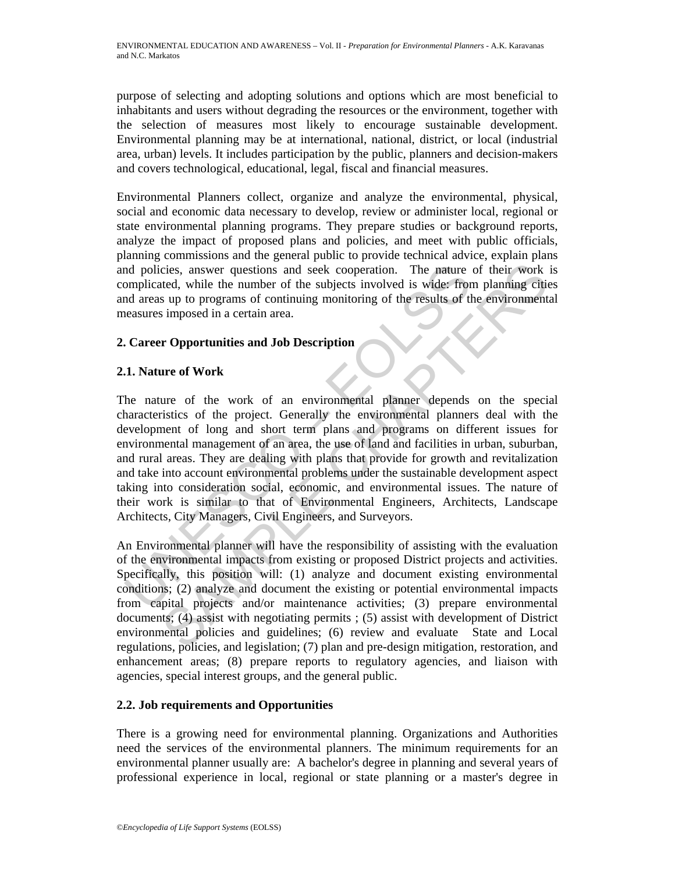purpose of selecting and adopting solutions and options which are most beneficial to inhabitants and users without degrading the resources or the environment, together with the selection of measures most likely to encourage sustainable development. Environmental planning may be at international, national, district, or local (industrial area, urban) levels. It includes participation by the public, planners and decision-makers and covers technological, educational, legal, fiscal and financial measures.

Environmental Planners collect, organize and analyze the environmental, physical, social and economic data necessary to develop, review or administer local, regional or state environmental planning programs. They prepare studies or background reports, analyze the impact of proposed plans and policies, and meet with public officials, planning commissions and the general public to provide technical advice, explain plans and policies, answer questions and seek cooperation. The nature of their work is complicated, while the number of the subjects involved is wide: from planning cities and areas up to programs of continuing monitoring of the results of the environmental measures imposed in a certain area.

# **2. Career Opportunities and Job Description**

## **2.1. Nature of Work**

nd policies, answer questions and seek cooperation. The nature<br>omplicated, while the number of the subjects involved is wide: from<br>d areas up to programs of continuing monitoring of the results of the<br>easures imposed in a cies, answer questions and seek cooperation. The nature of their work<br>teted, while the number of the subjects involved is wide: from planning cities<br>sup to programs of continuing monitoring of the results of the environmen The nature of the work of an environmental planner depends on the special characteristics of the project. Generally the environmental planners deal with the development of long and short term plans and programs on different issues for environmental management of an area, the use of land and facilities in urban, suburban, and rural areas. They are dealing with plans that provide for growth and revitalization and take into account environmental problems under the sustainable development aspect taking into consideration social, economic, and environmental issues. The nature of their work is similar to that of Environmental Engineers, Architects, Landscape Architects, City Managers, Civil Engineers, and Surveyors.

An Environmental planner will have the responsibility of assisting with the evaluation of the environmental impacts from existing or proposed District projects and activities. Specifically, this position will: (1) analyze and document existing environmental conditions; (2) analyze and document the existing or potential environmental impacts from capital projects and/or maintenance activities; (3) prepare environmental documents; (4) assist with negotiating permits ; (5) assist with development of District environmental policies and guidelines; (6) review and evaluate State and Local regulations, policies, and legislation; (7) plan and pre-design mitigation, restoration, and enhancement areas; (8) prepare reports to regulatory agencies, and liaison with agencies, special interest groups, and the general public.

## **2.2. Job requirements and Opportunities**

There is a growing need for environmental planning. Organizations and Authorities need the services of the environmental planners. The minimum requirements for an environmental planner usually are: A bachelor's degree in planning and several years of professional experience in local, regional or state planning or a master's degree in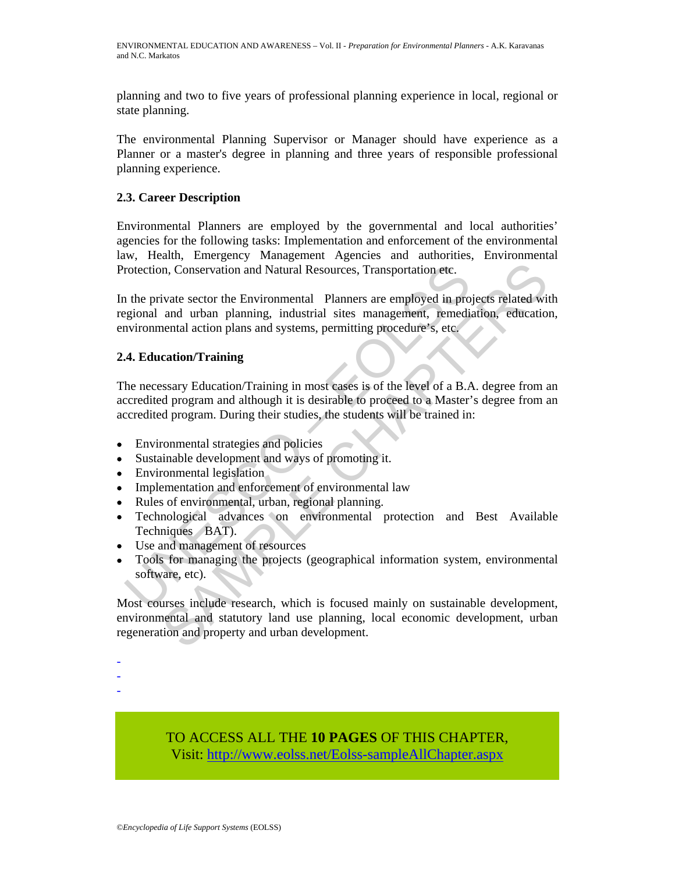planning and two to five years of professional planning experience in local, regional or state planning.

The environmental Planning Supervisor or Manager should have experience as a Planner or a master's degree in planning and three years of responsible professional planning experience.

## **2.3. Career Description**

Environmental Planners are employed by the governmental and local authorities' agencies for the following tasks: Implementation and enforcement of the environmental law, Health, Emergency Management Agencies and authorities, Environmental Protection, Conservation and Natural Resources, Transportation etc.

rotection, Conservation and Natural Resources, Transportation etc.<br>
1 the private sector the Environmental Planners are employed in progional and urban planning, industrial sites management, remediation<br>
1 and urban planni m, Conservation and Natural Resources, Transportation etc.<br>
ivate sector the Environmental Planners are employed in projects related wit<br>
and urban planning, industrial sites management, remediation, education<br>
ential acti In the private sector the Environmental Planners are employed in projects related with regional and urban planning, industrial sites management, remediation, education, environmental action plans and systems, permitting procedure's, etc.

## **2.4. Education/Training**

The necessary Education/Training in most cases is of the level of a B.A. degree from an accredited program and although it is desirable to proceed to a Master's degree from an accredited program. During their studies, the students will be trained in:

- Environmental strategies and policies
- Sustainable development and ways of promoting it.
- Environmental legislation

- - -

- Implementation and enforcement of environmental law
- Rules of environmental, urban, regional planning.
- Technological advances on environmental protection and Best Available Techniques BAT).
- Use and management of resources
- Tools for managing the projects (geographical information system, environmental software, etc).

Most courses include research, which is focused mainly on sustainable development, environmental and statutory land use planning, local economic development, urban regeneration and property and urban development.

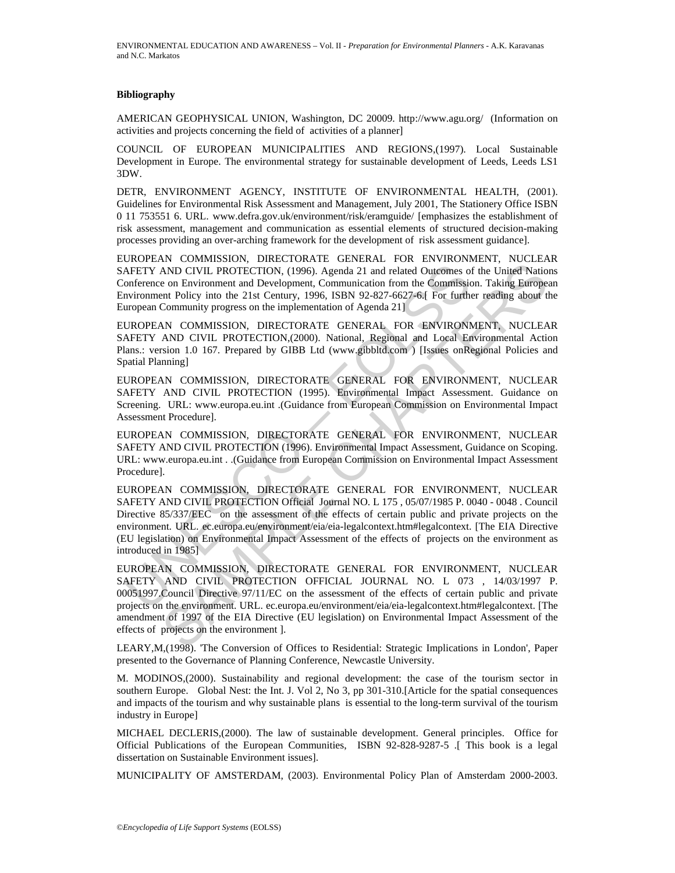#### **Bibliography**

AMERICAN GEOPHYSICAL UNION, Washington, DC 20009. http://www.agu.org/ (Information on activities and projects concerning the field of activities of a planner]

COUNCIL OF EUROPEAN MUNICIPALITIES AND REGIONS,(1997). Local Sustainable Development in Europe. The environmental strategy for sustainable development of Leeds, Leeds LS1 3DW.

DETR, ENVIRONMENT AGENCY, INSTITUTE OF ENVIRONMENTAL HEALTH, (2001). Guidelines for Environmental Risk Assessment and Management, July 2001, The Stationery Office ISBN 0 11 753551 6. URL. www.defra.gov.uk/environment/risk/eramguide/ [emphasizes the establishment of risk assessment, management and communication as essential elements of structured decision-making processes providing an over-arching framework for the development of risk assessment guidance].

EUROPEAN COMMISSION, DIRECTORATE GENERAL FOR ENVIRONMENT, NUCLEAR SAFETY AND CIVIL PROTECTION, (1996). Agenda 21 and related Outcomes of the United Nations Conference on Environment and Development, Communication from the Commission. Taking European Environment Policy into the 21st Century, 1996, ISBN 92-827-6627-6.[ For further reading about the European Community progress on the implementation of Agenda 21]

EUROPEAN COMMISSION, DIRECTORATE GENERAL FOR ENVIRONMENT, NUCLEAR SAFETY AND CIVIL PROTECTION,(2000). National, Regional and Local Environmental Action Plans.: version 1.0 167. Prepared by GIBB Ltd (www.gibbltd.com) [Issues onRegional Policies and Spatial Planning]

EUROPEAN COMMISSION, DIRECTORATE GENERAL FOR ENVIRONMENT, NUCLEAR SAFETY AND CIVIL PROTECTION (1995). Environmental Impact Assessment. Guidance on Screening. URL: www.europa.eu.int .(Guidance from European Commission on Environmental Impact Assessment Procedure].

EUROPEAN COMMISSION, DIRECTORATE GENERAL FOR ENVIRONMENT, NUCLEAR SAFETY AND CIVIL PROTECTION (1996). Environmental Impact Assessment, Guidance on Scoping. URL: www.europa.eu.int . .(Guidance from European Commission on Environmental Impact Assessment Procedure].

AFETY AND CIVIL PROTECTION, (1996). Agenda 21 and related Outcomes on Christmer and Development, Communication from the Commission conference on Environment and Development, Communication from the Commission or protonment TO COMMISSION, DRECTION, (1996). Agenda 211 and related Outcomes of the United Nation<br>AND CIVIL PROTECTION, (1996). Agenda 211 and related Outcomes of the United Nation<br>ent Policy into the 21st Century, 1996, ISBN 92-827-6 EUROPEAN COMMISSION, DIRECTORATE GENERAL FOR ENVIRONMENT, NUCLEAR SAFETY AND CIVIL PROTECTION Official Journal NO. L 175 , 05/07/1985 P. 0040 - 0048 . Council Directive 85/337/EEC on the assessment of the effects of certain public and private projects on the environment. URL. ec.europa.eu/environment/eia/eia-legalcontext.htm#legalcontext. [The EIA Directive (EU legislation) on Environmental Impact Assessment of the effects of projects on the environment as introduced in 1985]

EUROPEAN COMMISSION, DIRECTORATE GENERAL FOR ENVIRONMENT, NUCLEAR SAFETY AND CIVIL PROTECTION OFFICIAL JOURNAL NO. L 073 , 14/03/1997 P. 00051997.Council Directive 97/11/EC on the assessment of the effects of certain public and private projects on the environment. URL. ec.europa.eu/environment/eia/eia-legalcontext.htm#legalcontext. [The amendment of 1997 of the EIA Directive (EU legislation) on Environmental Impact Assessment of the effects of projects on the environment ].

LEARY,M,(1998). 'The Conversion of Offices to Residential: Strategic Implications in London', Paper presented to the Governance of Planning Conference, Newcastle University.

M. MODINOS,(2000). Sustainability and regional development: the case of the tourism sector in southern Europe. Global Nest: the Int. J. Vol 2, No 3, pp 301-310.[Article for the spatial consequences and impacts of the tourism and why sustainable plans is essential to the long-term survival of the tourism industry in Europe]

MICHAEL DECLERIS,(2000). The law of sustainable development. General principles. Office for Official Publications of the European Communities, ISBN 92-828-9287-5 .[ This book is a legal dissertation on Sustainable Environment issues].

MUNICIPALITY OF AMSTERDAM, (2003). Environmental Policy Plan of Amsterdam 2000-2003.